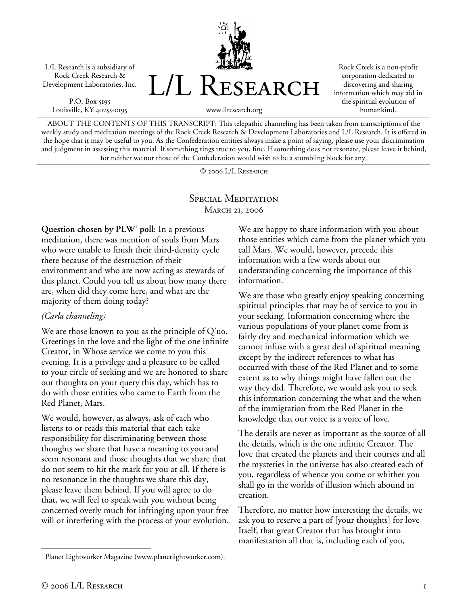L/L Research is a subsidiary of Rock Creek Research & Development Laboratories, Inc.

P.O. Box 5195 Louisville, KY 40255-0195



Rock Creek is a non-profit corporation dedicated to discovering and sharing information which may aid in the spiritual evolution of humankind.

www.llresearch.org

ABOUT THE CONTENTS OF THIS TRANSCRIPT: This telepathic channeling has been taken from transcriptions of the weekly study and meditation meetings of the Rock Creek Research & Development Laboratories and L/L Research. It is offered in the hope that it may be useful to you. As the Confederation entities always make a point of saying, please use your discrimination and judgment in assessing this material. If something rings true to you, fine. If something does not resonate, please leave it behind, for neither we nor those of the Confederation would wish to be a stumbling block for any.

© 2006 L/L Research

## SPECIAL MEDITATION **MARCH 21, 2006**

Question chosen by PLW<sup>1</sup> poll: In a previous meditation, there was mention of souls from Mars who were unable to finish their third-density cycle there because of the destruction of their environment and who are now acting as stewards of this planet. Could you tell us about how many there are, when did they come here, and what are the majority of them doing today?

## *(Carla channeling)*

We are those known to you as the principle of Q'uo. Greetings in the love and the light of the one infinite Creator, in Whose service we come to you this evening. It is a privilege and a pleasure to be called to your circle of seeking and we are honored to share our thoughts on your query this day, which has to do with those entities who came to Earth from the Red Planet, Mars.

We would, however, as always, ask of each who listens to or reads this material that each take responsibility for discriminating between those thoughts we share that have a meaning to you and seem resonant and those thoughts that we share that do not seem to hit the mark for you at all. If there is no resonance in the thoughts we share this day, please leave them behind. If you will agree to do that, we will feel to speak with you without being concerned overly much for infringing upon your free will or interfering with the process of your evolution.

We are happy to share information with you about those entities which came from the planet which you call Mars. We would, however, precede this information with a few words about our understanding concerning the importance of this information.

We are those who greatly enjoy speaking concerning spiritual principles that may be of service to you in your seeking. Information concerning where the various populations of your planet come from is fairly dry and mechanical information which we cannot infuse with a great deal of spiritual meaning except by the indirect references to what has occurred with those of the Red Planet and to some extent as to why things might have fallen out the way they did. Therefore, we would ask you to seek this information concerning the what and the when of the immigration from the Red Planet in the knowledge that our voice is a voice of love.

The details are never as important as the source of all the details, which is the one infinite Creator. The love that created the planets and their courses and all the mysteries in the universe has also created each of you, regardless of whence you come or whither you shall go in the worlds of illusion which abound in creation.

Therefore, no matter how interesting the details, we ask you to reserve a part of [your thoughts] for love Itself, that great Creator that has brought into manifestation all that is, including each of you,

<sup>1</sup> <sup>1</sup> Planet Lightworker Magazine (www.planetlightworker.com).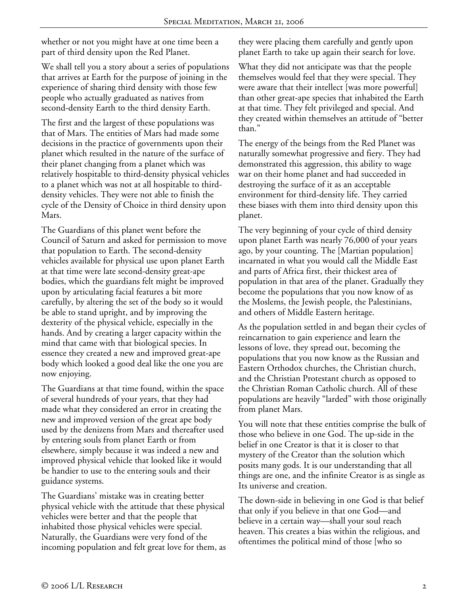whether or not you might have at one time been a part of third density upon the Red Planet.

We shall tell you a story about a series of populations that arrives at Earth for the purpose of joining in the experience of sharing third density with those few people who actually graduated as natives from second-density Earth to the third density Earth.

The first and the largest of these populations was that of Mars. The entities of Mars had made some decisions in the practice of governments upon their planet which resulted in the nature of the surface of their planet changing from a planet which was relatively hospitable to third-density physical vehicles to a planet which was not at all hospitable to thirddensity vehicles. They were not able to finish the cycle of the Density of Choice in third density upon Mars.

The Guardians of this planet went before the Council of Saturn and asked for permission to move that population to Earth. The second-density vehicles available for physical use upon planet Earth at that time were late second-density great-ape bodies, which the guardians felt might be improved upon by articulating facial features a bit more carefully, by altering the set of the body so it would be able to stand upright, and by improving the dexterity of the physical vehicle, especially in the hands. And by creating a larger capacity within the mind that came with that biological species. In essence they created a new and improved great-ape body which looked a good deal like the one you are now enjoying.

The Guardians at that time found, within the space of several hundreds of your years, that they had made what they considered an error in creating the new and improved version of the great ape body used by the denizens from Mars and thereafter used by entering souls from planet Earth or from elsewhere, simply because it was indeed a new and improved physical vehicle that looked like it would be handier to use to the entering souls and their guidance systems.

The Guardians' mistake was in creating better physical vehicle with the attitude that these physical vehicles were better and that the people that inhabited those physical vehicles were special. Naturally, the Guardians were very fond of the incoming population and felt great love for them, as they were placing them carefully and gently upon planet Earth to take up again their search for love.

What they did not anticipate was that the people themselves would feel that they were special. They were aware that their intellect [was more powerful] than other great-ape species that inhabited the Earth at that time. They felt privileged and special. And they created within themselves an attitude of "better than."

The energy of the beings from the Red Planet was naturally somewhat progressive and fiery. They had demonstrated this aggression, this ability to wage war on their home planet and had succeeded in destroying the surface of it as an acceptable environment for third-density life. They carried these biases with them into third density upon this planet.

The very beginning of your cycle of third density upon planet Earth was nearly 76,000 of your years ago, by your counting. The [Martian population] incarnated in what you would call the Middle East and parts of Africa first, their thickest area of population in that area of the planet. Gradually they become the populations that you now know of as the Moslems, the Jewish people, the Palestinians, and others of Middle Eastern heritage.

As the population settled in and began their cycles of reincarnation to gain experience and learn the lessons of love, they spread out, becoming the populations that you now know as the Russian and Eastern Orthodox churches, the Christian church, and the Christian Protestant church as opposed to the Christian Roman Catholic church. All of these populations are heavily "larded" with those originally from planet Mars.

You will note that these entities comprise the bulk of those who believe in one God. The up-side in the belief in one Creator is that it is closer to that mystery of the Creator than the solution which posits many gods. It is our understanding that all things are one, and the infinite Creator is as single as Its universe and creation.

The down-side in believing in one God is that belief that only if you believe in that one God—and believe in a certain way—shall your soul reach heaven. This creates a bias within the religious, and oftentimes the political mind of those [who so